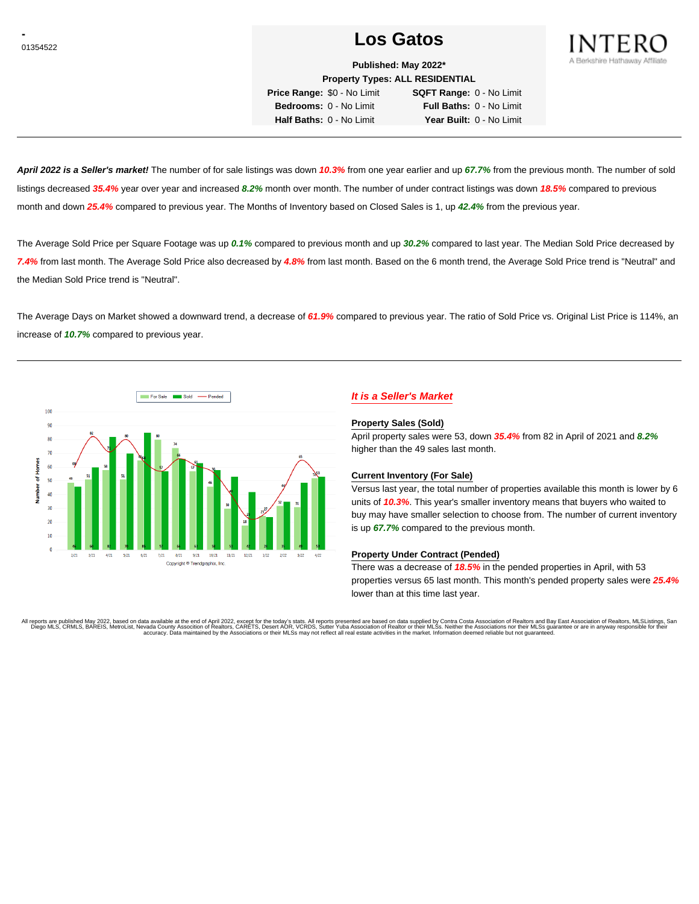# <sup>01354522</sup> **Los Gatos**



**Published: May 2022\***

**Property Types: ALL RESIDENTIAL Price Range:** \$0 - No Limit **SQFT Range:** 0 - No Limit

**Bedrooms:** 0 - No Limit **Full Baths:** 0 - No Limit **Half Baths:** 0 - No Limit **Year Built:** 0 - No Limit

**April 2022 is a Seller's market!** The number of for sale listings was down **10.3%** from one year earlier and up **67.7%** from the previous month. The number of sold listings decreased **35.4%** year over year and increased **8.2%** month over month. The number of under contract listings was down **18.5%** compared to previous month and down **25.4%** compared to previous year. The Months of Inventory based on Closed Sales is 1, up **42.4%** from the previous year.

The Average Sold Price per Square Footage was up **0.1%** compared to previous month and up **30.2%** compared to last year. The Median Sold Price decreased by **7.4%** from last month. The Average Sold Price also decreased by **4.8%** from last month. Based on the 6 month trend, the Average Sold Price trend is "Neutral" and the Median Sold Price trend is "Neutral".

The Average Days on Market showed a downward trend, a decrease of **61.9%** compared to previous year. The ratio of Sold Price vs. Original List Price is 114%, an increase of **10.7%** compared to previous year.



## **It is a Seller's Market**

#### **Property Sales (Sold)**

April property sales were 53, down **35.4%** from 82 in April of 2021 and **8.2%** higher than the 49 sales last month.

### **Current Inventory (For Sale)**

Versus last year, the total number of properties available this month is lower by 6 units of **10.3%**. This year's smaller inventory means that buyers who waited to buy may have smaller selection to choose from. The number of current inventory is up **67.7%** compared to the previous month.

#### **Property Under Contract (Pended)**

There was a decrease of **18.5%** in the pended properties in April, with 53 properties versus 65 last month. This month's pended property sales were **25.4%** lower than at this time last year.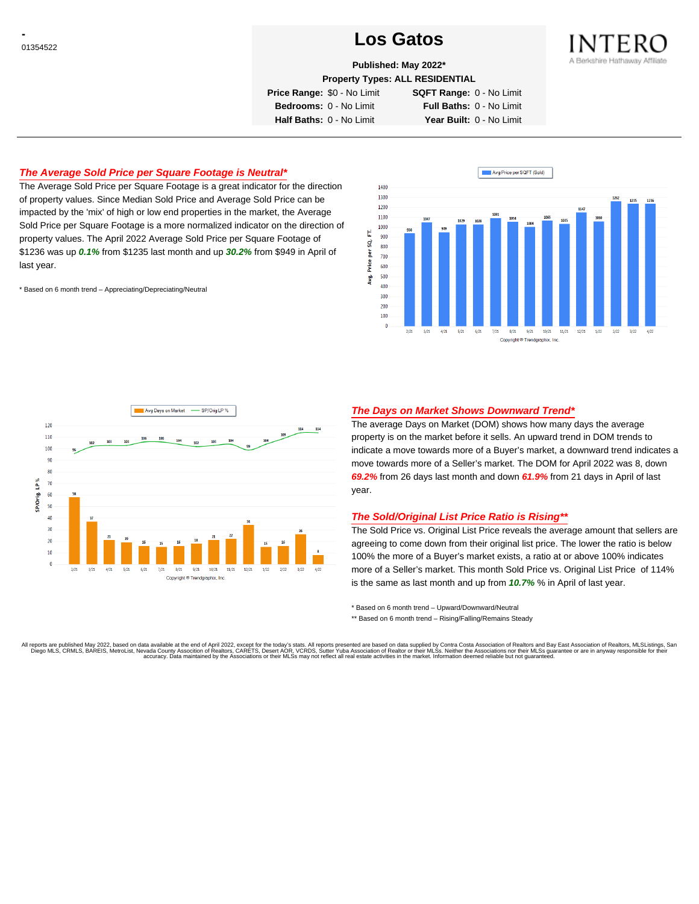## <sup>01354522</sup> **Los Gatos**



**Published: May 2022\***

**Property Types: ALL RESIDENTIAL**

**Price Range:** \$0 - No Limit **SQFT Range:** 0 - No Limit

**Bedrooms:** 0 - No Limit **Full Baths:** 0 - No Limit **Half Baths:** 0 - No Limit **Year Built:** 0 - No Limit

### **The Average Sold Price per Square Footage is Neutral\***

The Average Sold Price per Square Footage is a great indicator for the direction of property values. Since Median Sold Price and Average Sold Price can be impacted by the 'mix' of high or low end properties in the market, the Average Sold Price per Square Footage is a more normalized indicator on the direction of property values. The April 2022 Average Sold Price per Square Footage of \$1236 was up **0.1%** from \$1235 last month and up **30.2%** from \$949 in April of last year.

\* Based on 6 month trend – Appreciating/Depreciating/Neutral





### **The Days on Market Shows Downward Trend\***

The average Days on Market (DOM) shows how many days the average property is on the market before it sells. An upward trend in DOM trends to indicate a move towards more of a Buyer's market, a downward trend indicates a move towards more of a Seller's market. The DOM for April 2022 was 8, down **69.2%** from 26 days last month and down **61.9%** from 21 days in April of last year.

### **The Sold/Original List Price Ratio is Rising\*\***

The Sold Price vs. Original List Price reveals the average amount that sellers are agreeing to come down from their original list price. The lower the ratio is below 100% the more of a Buyer's market exists, a ratio at or above 100% indicates more of a Seller's market. This month Sold Price vs. Original List Price of 114% is the same as last month and up from **10.7%** % in April of last year.

\* Based on 6 month trend – Upward/Downward/Neutral

\*\* Based on 6 month trend - Rising/Falling/Remains Steady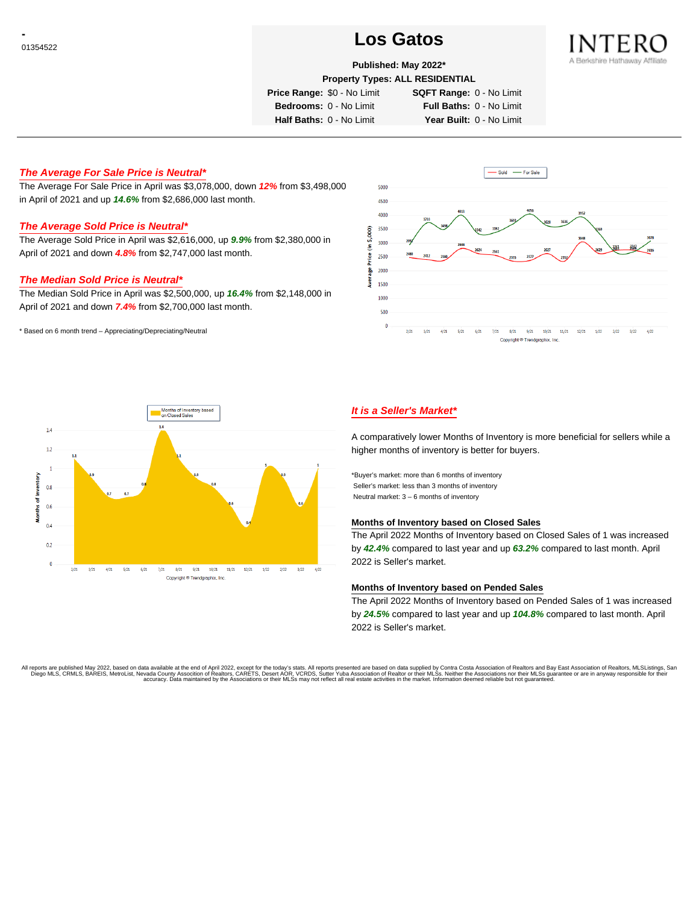# <sup>01354522</sup> **Los Gatos**



## **Published: May 2022\***

**Property Types: ALL RESIDENTIAL**

**Price Range:** \$0 - No Limit **SQFT Range:** 0 - No Limit

**Bedrooms:** 0 - No Limit **Full Baths:** 0 - No Limit **Half Baths:** 0 - No Limit **Year Built:** 0 - No Limit

### **The Average For Sale Price is Neutral\***

The Average For Sale Price in April was \$3,078,000, down **12%** from \$3,498,000 in April of 2021 and up **14.6%** from \$2,686,000 last month.

## **The Average Sold Price is Neutral\***

The Average Sold Price in April was \$2,616,000, up **9.9%** from \$2,380,000 in April of 2021 and down **4.8%** from \$2,747,000 last month.

## **The Median Sold Price is Neutral\***

The Median Sold Price in April was \$2,500,000, up **16.4%** from \$2,148,000 in April of 2021 and down **7.4%** from \$2,700,000 last month.

\* Based on 6 month trend – Appreciating/Depreciating/Neutral





### **It is a Seller's Market\***

A comparatively lower Months of Inventory is more beneficial for sellers while a higher months of inventory is better for buyers.

\*Buyer's market: more than 6 months of inventory Seller's market: less than 3 months of inventory Neutral market: 3 – 6 months of inventory

#### **Months of Inventory based on Closed Sales**

The April 2022 Months of Inventory based on Closed Sales of 1 was increased by **42.4%** compared to last year and up **63.2%** compared to last month. April 2022 is Seller's market.

#### **Months of Inventory based on Pended Sales**

The April 2022 Months of Inventory based on Pended Sales of 1 was increased by **24.5%** compared to last year and up **104.8%** compared to last month. April 2022 is Seller's market.